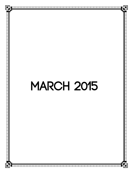# **MARCH 2015**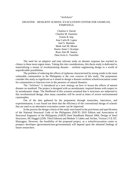#### "ArchAero"

### DISASTER – RESILIENT SCHOOL/ EVACUATION CENTER FOR SASMUAN, PAMPANGA

Charlon S. David Charlon M. Faustino Ermin B. Isip Jose Carlo B. Lapuz Joel S. Manlulu Mark Joel M. Musni Karen Anne I. Ocampo Rose Ann M. Santos Dani Irvin G. Torrefiel

The need for an adaptive and time relevant study on disaster response has reached its climax in these most urgent times. Taking this into considerations, this thesis study is dedicated to materializing a means of revolutionizing disaster – resilient engineering design in a world of unpredictable possibilities.

The problem of reducing the effects of typhoons characterized by strong winds in the most vulnerable communities in the Philippines is the core concern of this study. The proponents consider this study as significant as it aimed to design a disaster-resilient school/evacuation center for communities to function even in the presence of natural disasters.

The "AchAero" is introduced as a new strategy on how to lessen the effects of natural disaster on mankind. The project is designed with an aerodynamic inspired domes with respect to its aerodynamic shape. The likelihood of this scenario assumed that is structures are subjected to this revolutionized design, then many casualties will be saved at times of severe environmental catastrophes.

Out of the data gathered by the proponents through researches, interviews, and experimentation, it was found out there that the efficiency of the conventional design of schools that are used as an alternative evacuation center can be improved.

In the process the design criteria of the study were based in the provisions and specification of the National Structural Code of the Philippines (NSCP) 2010 Edition and Association of Structural Engineers of the Philippines (ASEP) Steel Handbook Manual 2004, Design of Steel Structures, SK Duggal (2209, Third Edition) and Module 5 Cables and Arches, Version 2 CE IIT, Kharagpur. However, the feasibility of the proposed project, as a school/evacuation center to prospecr developer (government/non-governmental) will depend upon the obtained findings of future researchers.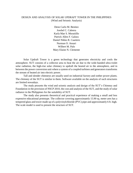## DESIGN AND ANALYSIS OF SOLAR UPDRAFT TOWER IN THE PHILIPPINES (Wind and Seismic Analysis)

Denn Carlo M. Benitez Jowhel C. Cabrera Karla Mae S. Moratiillo Patrick Allen F. Galura Daniel Nikko R. Cuartero Norman O. Ansari Wilbert M. Palo Mary Elaine N. Clemente

Solar Updraft Tower is a green technology that generates electricity and cools the atmosphere. SUT consists of a collector area to heat the air due to the wide-banded ultra-violet solar radiation, the high-rise solar chimney to updraft the heated air to the atmosphere, and in between the power conversion unit where a system of a coupled turbines and generators transforms the stream of heated air into electric power.

Tall and slender chimneys are usually used on industrial factory and oother power plants. The chimney of the SUT is similar to them. Software available on the analysis of such structures are limited nowadays.

The study presents the wind and seismic analysis and design of the SUT's Chimney and Foundation in the provision of NSCP 2010, the cost and analysis of the SUT, and the study of solar radiance in the Philippines for the suitability of SUT.

The study also presents theoretical and practical experience of making a small and less expensive educational prototype. The collector covering approximately 15.90 sq. meter ares has a tempered glass and tower made up of a polyvinylchloride (PVC) pipe and approximately 6 ft. high. The scale model is used to present the structure of SUT.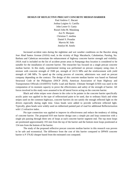#### **DESIGN OF REFLECTIVE PRECAST CONCRETE MEDIAN BARRIER**

Paul Andrew C. Bacani Joshua Luigino A. Cartilla John Lester O. Gania Russel John M. Manalang Ace N. Marquez Christian T. medina Daniel S. Posadas Marvin M. Sido Jenelyn M. Sotelo

Increased accident rates during the nighttime and wet weather conditions on the Bacolor along Jose Abad Santos Avenue (JASA) road, in the vicinity of Brgy Macabacle, Cabalantian, Parulog, Sta. Barbara and Cabetican necessitate the enhancement of highway concrete barrier strength and visibility. JASA road is included on the list of accident prone areas in Pampanga thus location is considered to be suitable for the installation of concrete barrier. The researcher has focused on a single precast concrete median barrier. In this study, experimental testing was performed on precast company using class A mixture with concrete strength of 3500 psi, strength of 24.15 MPa and the reinforcement with yield strength of 248 MPa. To speed up the curing process of concrete, admixtures was used on precast company depending on the contract. The design of this concrete median barrier was based on National Structural Code of the Philippines (NSCP 2010), American Association of State Highway and Transportation Officials (AASHTO) Traffic Load and Barrier. Ultimate Strength (USD) was used in the computation of its moment capacity to prove the effectiveness and safety of the strength of barrier. All forces involved in this study were assumed to be all lateral forces acting on the concrete barrier.

Black and white stripes were chosen in the color to be painter in the concrete barrier specifically acrylic paint was applied in the type of reflectorized paint to be used, due to ordinary black and white stripes used on the common highways, concrete barriers do not satisfy the enough reflected light on the drivers especially during night time. Glass beads were added to provide sufficient reflected light. Typically, glass beads were widely used on rubberized painted part of road for additional Reflectorization with 1.5 refractive index.

Pin type connection was applied to improve its effectiveness and reduce the tendency of sliding of concrete barrier. The proposed 810 mm barrier design uses a simple pin and loop connection with a single pin passing through three sets of loops at each concrete barrier segment end. The top most loops are positioned approximately 193 mm from the top of the barrier and the bottom most loops positioned at 154 mm from the bottom of the barrier.

The study of the proposed reflective precast concrete median barrier in this research was proven to be safe and economical. The difference from the cost of this barrier compared to DPWH concrete barrier is P 376.82 cheaper based from the estimated cost computed.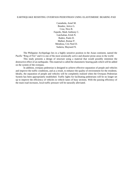#### EARTHQUAKE RESISTING OVERPASS PEDESTRIAN USING ELASTOMERIC BEARING PAD

Castañeda, Arnel M. Bondoc, Jerico G. Cruz, Nico R. Fajardo, Mark Anthony C. Gatchalian, Erish N. Ibañez, Paulo D. Mallari, Romar P. Mendoza, Cris Noel D. Sudaria, Maynard N.

The Philippine Archipelago lies in a highly sensitive position in the Asian continent, named the Pacific "Ring of Fire" and it is one of the most seismically active and disaster prone areas in the world.

This study presents a design of structure using a material that would possibly minimize the destructive effect of an earthquake. This material is called the elastomeric bearing pads which will be added on the system of the overpass.

In addition, overpass pedestrian is designed to achieve effective separation of people and vehicles and improve the traffic conditions, and as a result, to enhance the quality of environment for the residents. Ideally, the separation of people and vehicles will be completely realized when the Overpass Pedestrian System has been appropriately established. Traffic lights for facilitating pedestrians will be no longer set up to improve the efficiency of vehicles in vehicle lanes of busy sections. With the passing efficiency of the main road increases, local traffic pressure will be naturally alleviated.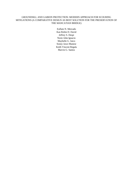## GROUNDSILL AND GABION PROTECTION: MODERN APPROACH FOR SCOURING MITIGATIONS (A COMPARATIVE DESIGN AS BEST SOLUTION FOR THE PRESERVATION OF THE MANCATIAN BRIDGE)

Euflain N. Mercado Kan Robin D. David Jeffrey S. Despi Norie John Ignacio Maybelle G. Juico Sonny Jawo Manese Keith Vincent Regala Marvin G. Santos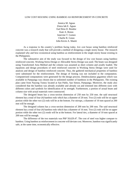#### LOW COST HOUSING USING BAMBOO AS REINFORCEMENT IN CONCRETE

Jennica M. Aguas Zimra Iah E. Aguas Earl Reia D. Bondoc Kate A. Bonus Junevine T. Gomez Charlie R. Guiao John Kevin A. Maniti

As a response to the country's problem facing today, low cost house using bamboo reinforced concrete was a research study that will provide a method of designing a single storey house. The research explained why and how economical using bamboo as reinforcement in the single-storey house existing in the Philippines.

The substantive aim of the study was focused to the design of low cost houses using bamboo reinforced concrete. Working Stress Design or Allowable Stress Design was used. The beam was designed using Transformed Area Method and the column was assumed as short column and axially loaded. The equations and design procedures of steel reinforced concrete in Working Stress Design were used for analysis and design of bamboo reinforced concrete. Thus, the gathered mechanical properties of bamboo were substituted for the reinforcement. The design of footing was not included in the computation. Computerized computations were generated for the design process. Dendrocalamus giganteus which was available in Pampanga was chosen due to unlimited number of bamboos in the Philippines. The existing plan came from Nayong Tsinoy located at San Pablo, San Simon, Pampanga. Moreover, the study also considered that the bamboo was already available and already cut and trimmed into different sizes with different colors and symbols for identification of its strength. Furthermore, a portion of actual beam and column size with actual materials were constructed.

The designed beam has a cross-section dimension of 250 mm by 250 mm. the said structural element has a total of four (4) bamboo rods which has a diameter of 20 mm. Two (2) rods will be on upper portion while the other two (2) rods will be at the bottom. For stirrups, a diameter of 10 mm spaced at 200 mm will be enough.

The designed column has a cross-section dimension of 200 mm by 200 mm. The said structural element has a total of four (4) bamboo rods which has a diameter of 16 mm. Two (2) rods will be on upper portion while the other two (2) roods will be at the bottom. For lateral ties, a diameter of 10 mm spaced at 200 mm will be enough.

The difference of the two materials was PhP 50,629.47. The cost of steel was higher compare to bamboo. Using bamboo as reinforcement in concrete will deviate cost. Moreover, bamboo was significantly safe, at the same time, economically effective.